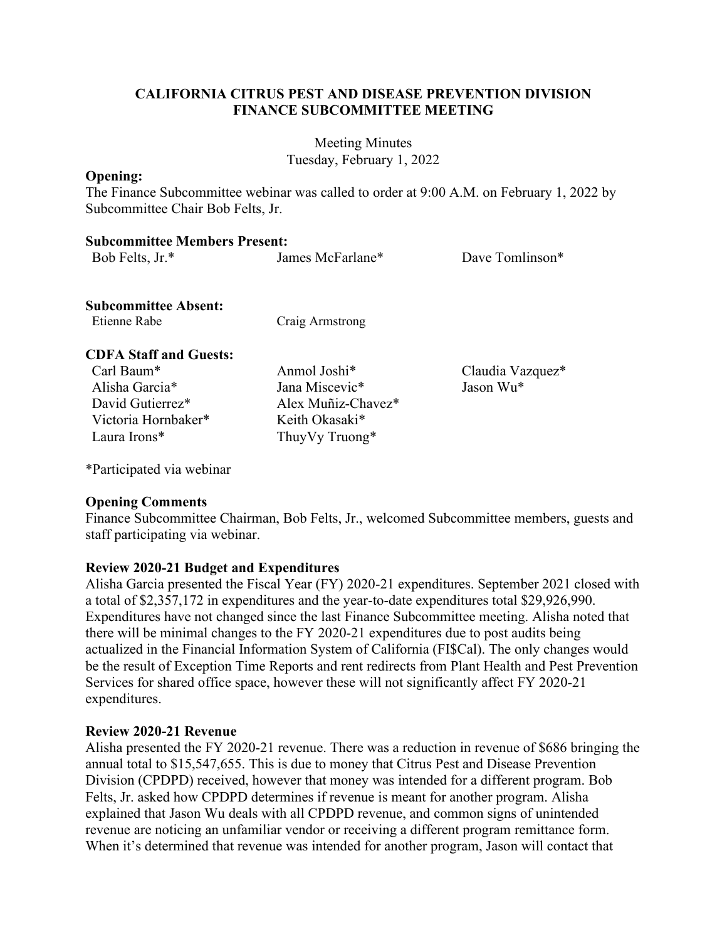## **CALIFORNIA CITRUS PEST AND DISEASE PREVENTION DIVISION FINANCE SUBCOMMITTEE MEETING**

Meeting Minutes Tuesday, February 1, 2022

#### **Opening:**

The Finance Subcommittee webinar was called to order at 9:00 A.M. on February 1, 2022 by Subcommittee Chair Bob Felts, Jr.

#### **Subcommittee Members Present:**

| Bob Felts, Jr.*                             | James McFarlane*         | Dave Tomlinson*  |
|---------------------------------------------|--------------------------|------------------|
| <b>Subcommittee Absent:</b><br>Etienne Rabe | Craig Armstrong          |                  |
| <b>CDFA Staff and Guests:</b>               |                          |                  |
| $Carl$ Baum <sup>*</sup>                    | Anmol Joshi <sup>*</sup> | Claudia Vazquez* |
| Alisha Garcia <sup>*</sup>                  | Jana Miscevic*           | Jason Wu*        |
| David Gutierrez*                            | Alex Muñiz-Chavez*       |                  |
| Victoria Hornbaker*                         | Keith Okasaki*           |                  |
| Laura Irons <sup>*</sup>                    | ThuyVy Truong*           |                  |
|                                             |                          |                  |

\*Participated via webinar

#### **Opening Comments**

Finance Subcommittee Chairman, Bob Felts, Jr., welcomed Subcommittee members, guests and staff participating via webinar.

# **Review 2020-21 Budget and Expenditures**

 Alisha Garcia presented the Fiscal Year (FY) 2020-21 expenditures. September 2021 closed with be the result of Exception Time Reports and rent redirects from Plant Health and Pest Prevention a total of \$2,357,172 in expenditures and the year-to-date expenditures total \$29,926,990. Expenditures have not changed since the last Finance Subcommittee meeting. Alisha noted that there will be minimal changes to the FY 2020-21 expenditures due to post audits being actualized in the Financial Information System of California (FI\$Cal). The only changes would Services for shared office space, however these will not significantly affect FY 2020-21 expenditures.

#### **Review 2020-21 Revenue**

 Alisha presented the FY 2020-21 revenue. There was a reduction in revenue of \$686 bringing the annual total to \$15,547,655. This is due to money that Citrus Pest and Disease Prevention Division (CPDPD) received, however that money was intended for a different program. Bob Felts, Jr. asked how CPDPD determines if revenue is meant for another program. Alisha explained that Jason Wu deals with all CPDPD revenue, and common signs of unintended revenue are noticing an unfamiliar vendor or receiving a different program remittance form. When it's determined that revenue was intended for another program, Jason will contact that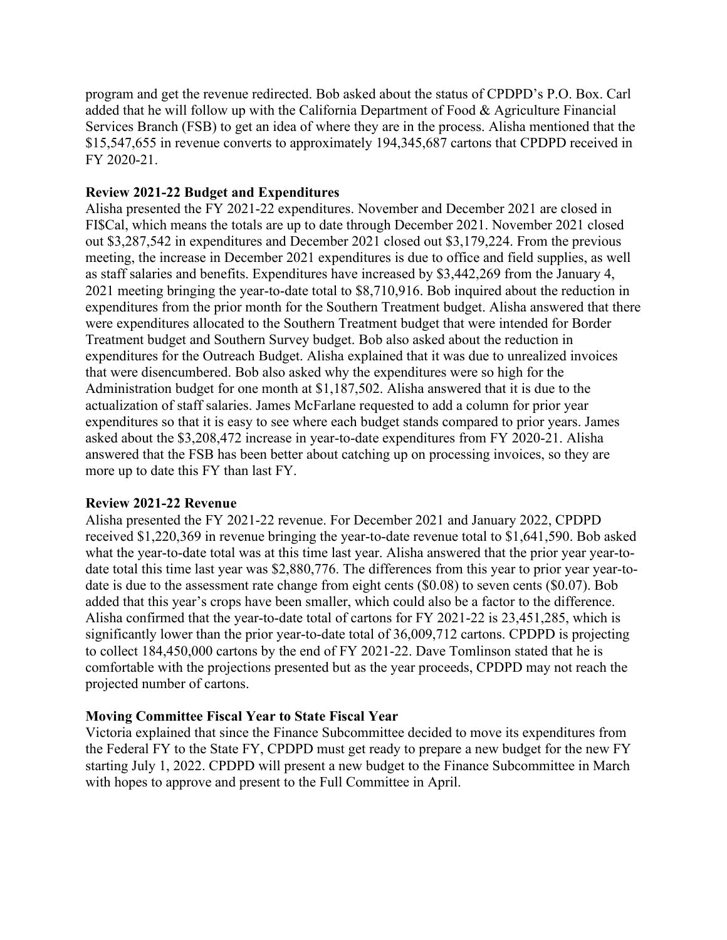Services Branch (FSB) to get an idea of where they are in the process. Alisha mentioned that the program and get the revenue redirected. Bob asked about the status of CPDPD's P.O. Box. Carl added that he will follow up with the California Department of Food & Agriculture Financial \$15,547,655 in revenue converts to approximately 194,345,687 cartons that CPDPD received in FY 2020-21.

# **Review 2021-22 Budget and Expenditures**

 meeting, the increase in December 2021 expenditures is due to office and field supplies, as well expenditures for the Outreach Budget. Alisha explained that it was due to unrealized invoices that were disencumbered. Bob also asked why the expenditures were so high for the asked about the \$3,208,472 increase in year-to-date expenditures from FY 2020-21. Alisha Alisha presented the FY 2021-22 expenditures. November and December 2021 are closed in FI\$Cal, which means the totals are up to date through December 2021. November 2021 closed out \$3,287,542 in expenditures and December 2021 closed out \$3,179,224. From the previous as staff salaries and benefits. Expenditures have increased by \$3,442,269 from the January 4, 2021 meeting bringing the year-to-date total to \$8,710,916. Bob inquired about the reduction in expenditures from the prior month for the Southern Treatment budget. Alisha answered that there were expenditures allocated to the Southern Treatment budget that were intended for Border Treatment budget and Southern Survey budget. Bob also asked about the reduction in Administration budget for one month at \$1,187,502. Alisha answered that it is due to the actualization of staff salaries. James McFarlane requested to add a column for prior year expenditures so that it is easy to see where each budget stands compared to prior years. James answered that the FSB has been better about catching up on processing invoices, so they are more up to date this FY than last FY.

## **Review 2021-22 Revenue**

 what the year-to-date total was at this time last year. Alisha answered that the prior year year-to-Alisha presented the FY 2021-22 revenue. For December 2021 and January 2022, CPDPD received \$1,220,369 in revenue bringing the year-to-date revenue total to \$1,641,590. Bob asked date total this time last year was \$2,880,776. The differences from this year to prior year year-todate is due to the assessment rate change from eight cents (\$0.08) to seven cents (\$0.07). Bob added that this year's crops have been smaller, which could also be a factor to the difference. Alisha confirmed that the year-to-date total of cartons for FY 2021-22 is 23,451,285, which is significantly lower than the prior year-to-date total of 36,009,712 cartons. CPDPD is projecting to collect 184,450,000 cartons by the end of FY 2021-22. Dave Tomlinson stated that he is comfortable with the projections presented but as the year proceeds, CPDPD may not reach the projected number of cartons.

# **Moving Committee Fiscal Year to State Fiscal Year**

Victoria explained that since the Finance Subcommittee decided to move its expenditures from the Federal FY to the State FY, CPDPD must get ready to prepare a new budget for the new FY starting July 1, 2022. CPDPD will present a new budget to the Finance Subcommittee in March with hopes to approve and present to the Full Committee in April.